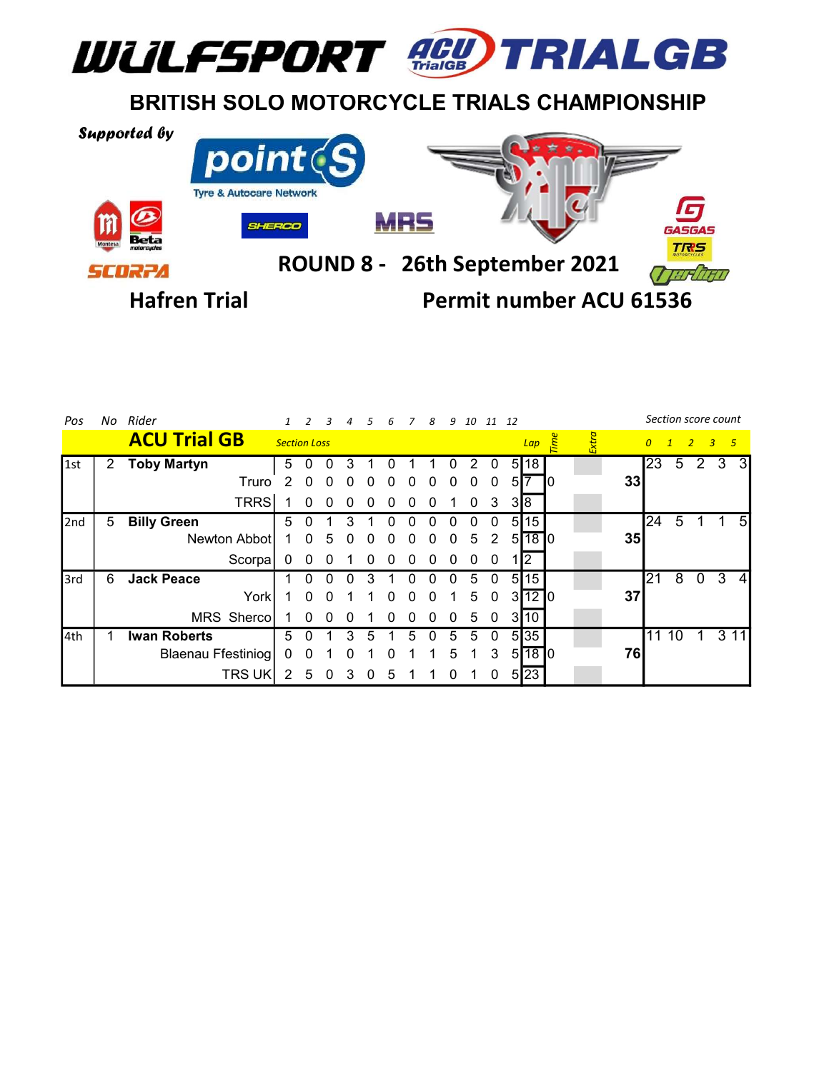

## BRITISH SOLO MOTORCYCLE TRIALS CHAMPIONSHIP



| Pos  |   | No Rider            |                     |          |              |              |          | 6            |          | -8 |   | 9 10 11 12   |                |    |       |     |   |    |                | Section score count |               |                |   |
|------|---|---------------------|---------------------|----------|--------------|--------------|----------|--------------|----------|----|---|--------------|----------------|----|-------|-----|---|----|----------------|---------------------|---------------|----------------|---|
|      |   | <b>ACU Trial GB</b> | <b>Section Loss</b> |          |              |              |          |              |          |    |   |              |                |    | Lap   | ime | ŧ |    | $\overline{0}$ | $\mathbf{I}$        | $\rightarrow$ | 3 <sub>5</sub> |   |
| l1st | 2 | <b>Toby Martyn</b>  | 5                   |          |              |              |          |              |          |    |   | 2            | 0              |    | 5 18  |     |   |    | I23            | 5                   | 2             | -3             |   |
|      |   | Truro               | $\mathfrak{D}$      |          | $\mathbf{U}$ | $\mathbf{U}$ |          |              |          |    | 0 | 0            | 0              | 51 |       | ıυ  |   | 33 |                |                     |               |                |   |
|      |   | TRRS                |                     | $\Omega$ | $\Omega$     | $\Omega$     | $\Omega$ | $\Omega$     | $\Omega$ | 0  |   | $\mathbf{0}$ | 3              |    | 318   |     |   |    |                |                     |               |                |   |
| 2nd  | 5 | <b>Billy Green</b>  | 5                   |          |              |              |          |              |          |    |   |              | $^{(1)}$       | 51 | 15    |     |   |    | 24             | 5                   |               |                | 5 |
|      |   | Newton Abbot        |                     | $\Omega$ | .5           | <sup>0</sup> |          |              |          |    | 0 | 5            | 2              |    | 5180  |     |   | 35 |                |                     |               |                |   |
|      |   | Scorpa              | 0                   | $\Omega$ | $\Omega$     |              | $\Omega$ |              |          |    |   | 0            | 0              |    | 2     |     |   |    |                |                     |               |                |   |
| 3rd  | 6 | <b>Jack Peace</b>   |                     |          |              |              |          |              |          |    |   | 5            | $\Omega$       |    | 5 15  |     |   |    | 21             | 8                   | $\Omega$      | -3             | 4 |
|      |   | York                |                     | $\Omega$ | $\Omega$     |              |          | <sup>0</sup> |          | U  |   | 5            | $\mathbf{0}$   |    | 31210 |     |   | 37 |                |                     |               |                |   |
|      |   | MRS Shercol         |                     | $\Omega$ | $\Omega$     | $\Omega$     |          |              |          |    | 0 | 5            | $\overline{0}$ |    | 3 10  |     |   |    |                |                     |               |                |   |
| 4th  |   | <b>Iwan Roberts</b> | 5                   |          |              |              |          |              | h        |    | 5 | 5            | 0              |    | 5 35  |     |   |    | 11             | 10                  |               | 3 1 1          |   |
|      |   | Blaenau Ffestiniog  | $\mathbf 0$         | 0        |              | $\Omega$     |          | $\Omega$     |          |    | 5 |              | 3              |    | 5180  |     |   | 76 |                |                     |               |                |   |
|      |   | <b>TRS UK</b>       | 2                   | 5        | $\mathbf{U}$ | 3            | 0        | 5            |          |    | 0 |              | 0              |    | 5 23  |     |   |    |                |                     |               |                |   |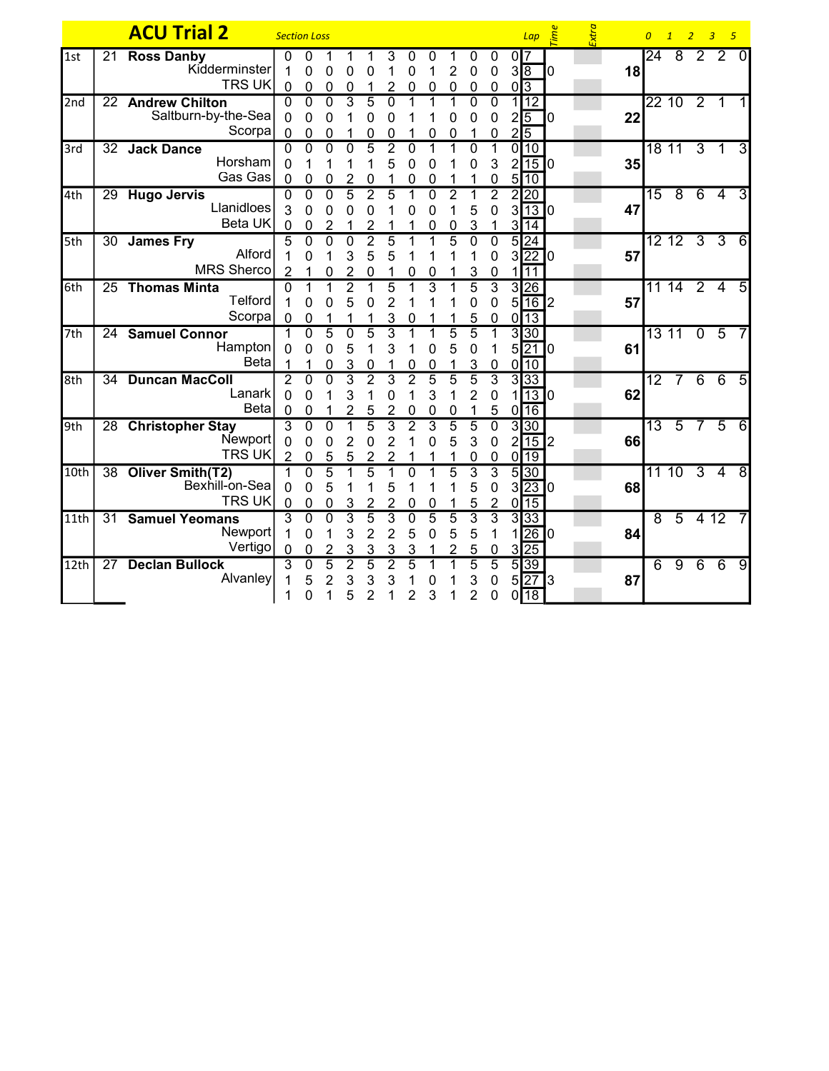|      |                 | <b>ACU Trial 2</b>                                     | <b>Section Loss</b>                   |                                    |                                       |                                       |                                       |                                                    |                                    |                          |                                       |                          |                                                 |                              | $Lap \quad \stackrel{\text{def}}{=}$                             |   | Extra |    | $\overline{0}$  | $\overline{1}$ | 2 <sup>2</sup> | $\overline{3}$<br>$-5$ |                |
|------|-----------------|--------------------------------------------------------|---------------------------------------|------------------------------------|---------------------------------------|---------------------------------------|---------------------------------------|----------------------------------------------------|------------------------------------|--------------------------|---------------------------------------|--------------------------|-------------------------------------------------|------------------------------|------------------------------------------------------------------|---|-------|----|-----------------|----------------|----------------|------------------------|----------------|
| 1st  | $\overline{21}$ | <b>Ross Danby</b><br>Kidderminster<br><b>TRS UK</b>    | 0<br>0                                | 0<br>0<br>$\mathbf 0$              | 0<br>0                                | 0<br>$\mathbf 0$                      | 0                                     | 3<br>2                                             | 0<br>$\mathbf 0$<br>$\Omega$       | 0<br>1<br>0              | 2<br>$\mathbf 0$                      | 0<br>0<br>0              | 0<br>$\mathbf 0$<br>0                           | 0 <sup>7</sup><br>$\sqrt{3}$ | $3\sqrt{8}$                                                      | 0 |       | 18 | $\overline{24}$ | $\overline{8}$ | $\overline{2}$ | $\overline{2}$         | $\Omega$       |
| 2nd  | 22              | <b>Andrew Chilton</b><br>Saltburn-by-the-Sea<br>Scorpa | $\Omega$<br>$\Omega$<br>$\Omega$      | $\overline{0}$<br>$\Omega$<br>0    | $\overline{0}$<br>$\Omega$<br>0       | $\overline{3}$<br>1                   | 5<br>0<br>0                           | $\Omega$<br>0<br>0                                 | 1                                  | 0                        | 0<br>0                                | $\Omega$<br>0<br>1       | $\overline{0}$<br>0<br>0                        | $2\sqrt{5}$                  | 1112<br>$2\sqrt{5}$                                              | 0 |       | 22 |                 | 22 10          | $\overline{2}$ | $\overline{1}$         |                |
| 3rd  | 32              | <b>Jack Dance</b><br>Horsham<br>Gas Gas                | 0<br>$\Omega$<br>$\Omega$             | $\overline{0}$<br>0                | $\Omega$<br>0                         | $\Omega$<br>$\overline{2}$            | 5<br>1<br>0                           | 2<br>5<br>1                                        | $\Omega$<br>0<br>0                 | 1<br>0<br>0              | 1                                     | $\Omega$<br>0<br>1       | 1<br>3<br>0                                     |                              | 0 10<br>$2$ 15 0<br>$5\overline{10}$                             |   |       | 35 |                 | 18 11          | $\overline{3}$ | $\mathbf 1$            | 3              |
| 4th  | 29              | <b>Hugo Jervis</b><br>Llanidloes<br><b>Beta UK</b>     | 0<br>3<br>0                           | $\overline{0}$<br>0<br>0           | $\overline{0}$<br>0<br>2              | $\overline{5}$<br>0<br>1              | $\overline{2}$<br>0<br>$\overline{2}$ | 5<br>1                                             | 1<br>0                             | $\Omega$<br>0<br>0       | $\overline{2}$<br>0                   | 1<br>5<br>3              | $\overline{2}$<br>0<br>1                        |                              | 2 20<br>3130<br>$3\overline{14}$                                 |   |       | 47 | $\overline{15}$ | $\overline{8}$ | 6              | 4                      | 3              |
| 5th  | 30              | <b>James Fry</b><br>Alford<br><b>MRS Sherco</b>        | 5<br>$\overline{2}$                   | $\mathbf 0$<br>0                   | $\mathbf 0$<br>0                      | $\overline{0}$<br>3<br>$\overline{2}$ | $\overline{2}$<br>5<br>$\mathbf 0$    | $\overline{5}$<br>5                                | 0                                  | 0                        | $\overline{5}$                        | $\mathbf 0$<br>3         | 0<br>0<br>$\mathbf 0$                           | 1                            | $5\overline{24}$<br>3 22 0<br>11                                 |   |       | 57 |                 | $12$ 12 3      |                | $\overline{3}$         | $\overline{6}$ |
| 6th  | 25              | <b>Thomas Minta</b><br><b>Telford</b><br>Scorpa        | $\Omega$<br>1<br>$\Omega$             | $\mathbf 0$<br>0                   | 0                                     | $\overline{2}$<br>5<br>1              | 1<br>0<br>1                           | $\overline{5}$<br>$\overline{2}$<br>3              | $\mathbf 0$                        | 3                        |                                       | $\overline{5}$<br>0<br>5 | $\overline{3}$<br>$\mathbf 0$<br>$\mathbf 0$    | 0                            | 3 26<br>5 16 2<br>$\overline{13}$                                |   |       | 57 |                 | $1114$ 2       |                | $\overline{4}$         | 5              |
| 7th  | 24              | <b>Samuel Connor</b><br>Hampton<br><b>Beta</b>         | 1<br>0                                | $\overline{0}$<br>$\Omega$         | $\overline{5}$<br>0<br>0              | $\overline{0}$<br>5<br>3              | $\overline{5}$<br>1<br>$\mathbf 0$    | $\overline{3}$<br>3<br>1                           | 1<br>1<br>0                        | 1<br>0<br>0              | $\overline{5}$<br>5<br>1              | $\overline{5}$<br>0<br>3 | 1<br>1<br>$\mathbf 0$                           |                              | 3 30<br>5 21 0<br>$0\sqrt{10}$                                   |   |       | 61 |                 | 13 11          | $\overline{0}$ | $\overline{5}$         |                |
| 8th  | 34              | <b>Duncan MacColl</b><br>Lanark<br><b>Beta</b>         | $\overline{2}$<br>0<br>$\mathbf 0$    | $\overline{0}$<br>0<br>$\mathbf 0$ | $\overline{0}$                        | $\overline{3}$<br>3<br>$\overline{2}$ | $\overline{2}$<br>1<br>5              | 3<br>0<br>$\overline{2}$                           | $\overline{2}$<br>1<br>$\mathbf 0$ | 5<br>3<br>0              | $\overline{5}$<br>1<br>0              | 5<br>2<br>1              | $\overline{3}$<br>$\pmb{0}$<br>5                |                              | 3 33<br>$1$ <sup>13 <math>\boxed{0}</math></sup><br>$0\sqrt{16}$ |   |       | 62 | $\overline{12}$ |                | 6              | $\overline{6}$         | 5              |
| l9th |                 | 28 Christopher Stay<br>Newport<br><b>TRS UK</b>        | $\overline{3}$<br>0<br>$\overline{2}$ | $\overline{0}$<br>$\Omega$<br>0    | $\overline{0}$<br>$\overline{0}$<br>5 | $\overline{1}$<br>$\overline{2}$<br>5 | $\overline{5}$<br>0<br>$\overline{2}$ | $\overline{3}$<br>$\overline{2}$<br>$\overline{2}$ | $\overline{2}$<br>1                | $\overline{3}$<br>0      | $\overline{5}$<br>5                   | $\overline{5}$<br>3<br>0 | $\overline{0}$<br>$\mathbf 0$<br>$\mathbf{0}$   |                              | 3 30<br>$2\sqrt{15}$ <sub>2</sub><br>$0\overline{19}$            |   |       | 66 | $\overline{13}$ | $\overline{5}$ | 7              | $\overline{5}$         | 6              |
| 10th |                 | 38 Oliver Smith(T2)<br>Bexhill-on-Sea<br><b>TRS UK</b> | 1<br>0<br>0                           | $\mathbf{0}$<br>0<br>0             | $\overline{5}$<br>5<br>$\overline{0}$ | 1<br>1<br>3                           | $\overline{5}$<br>1<br>$\overline{2}$ | 1<br>5<br>$\overline{2}$                           | $\Omega$<br>1<br>0                 | 1<br>0                   | $\overline{5}$<br>1                   | 3<br>5<br>5              | $\overline{3}$<br>$\mathbf 0$<br>$\overline{2}$ |                              | $5\overline{30}$<br>3 23 0<br>$0\overline{15}$                   |   |       | 68 |                 | 11 10          | $\overline{3}$ | $\overline{4}$         | $\overline{8}$ |
| 11th | 31              | <b>Samuel Yeomans</b><br>Newport<br>Vertigo            | $\overline{3}$<br>1<br>0              | $\overline{0}$<br>0<br>0           | $\overline{0}$<br>1<br>$\overline{c}$ | $\overline{3}$<br>3<br>3              | $\overline{5}$<br>$\overline{2}$<br>3 | 3<br>$\overline{2}$<br>3                           | $\overline{0}$<br>5<br>3           | $\overline{5}$<br>0<br>1 | $\overline{5}$<br>5<br>$\overline{2}$ | $\overline{3}$<br>5<br>5 | $\overline{3}$<br>1<br>$\pmb{0}$                |                              | 3 33<br>1 26 0<br>$3\overline{25}$                               |   |       | 84 | 8               | $\overline{5}$ |                | 412                    |                |
| 12th | 27              | <b>Declan Bullock</b><br>Alvanley                      | 3<br>1                                | $\Omega$<br>5<br>0                 | 5<br>$\overline{2}$                   | $\overline{2}$<br>3<br>5              | 5<br>3<br>$\overline{2}$              | $\overline{2}$<br>3                                | $\overline{5}$<br>2                | 0<br>3                   |                                       | 5<br>3<br>2              | $\overline{5}$<br>0<br>0                        |                              | 5 39<br>5 27 3<br>$0\overline{18}$                               |   |       | 87 | 6               | $\overline{9}$ | $\overline{6}$ | $\overline{6}$         | $\overline{9}$ |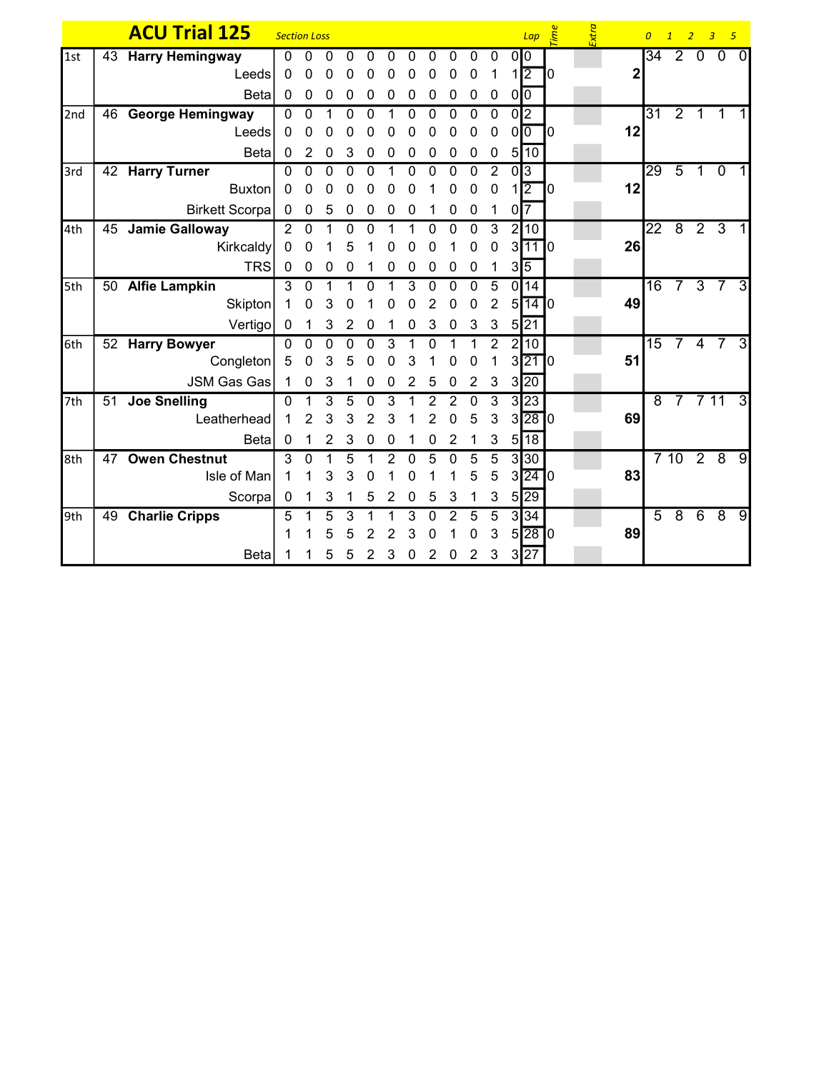|     |    | <b>ACU Trial 125</b>   | <b>Section Loss</b> |                |              |          |              |   |          |          |          |                |                |                   | $Lap \quad \stackrel{\text{def}}{=}$ |    | Extra |              |                 | 0 1 2 3 5      |              |                  |   |
|-----|----|------------------------|---------------------|----------------|--------------|----------|--------------|---|----------|----------|----------|----------------|----------------|-------------------|--------------------------------------|----|-------|--------------|-----------------|----------------|--------------|------------------|---|
| 1st | 43 | <b>Harry Hemingway</b> | 0                   | 0              | O            | 0        | 0            | 0 | ი        |          | ი        | 0              | 0              | 0 <sup>10</sup>   |                                      |    |       |              | 34              | $\overline{2}$ | $\mathbf{0}$ | $\overline{0}$   | 0 |
|     |    | Leeds                  | 0                   | 0              |              |          |              |   |          |          | 0        | 0              | 1              | $1\sqrt{2}$       |                                      | 10 |       | $\mathbf{2}$ |                 |                |              |                  |   |
|     |    | <b>Beta</b>            | 0                   | 0              | 0            | 0        | 0            | 0 | 0        | 0        | 0        | 0              | 0              | $0\overline{0}$   |                                      |    |       |              |                 |                |              |                  |   |
| 2nd |    | 46 George Hemingway    | $\mathbf{0}$        | $\Omega$       |              | 0        | 0            |   | 0        | 0        | $\Omega$ | 0              | $\mathbf 0$    | $\overline{0}$  2 |                                      |    |       |              | 31              | $\overline{2}$ | 1            | $\mathbf 1$      |   |
|     |    | Leeds                  | 0                   | 0              |              |          |              |   |          |          | 0        | 0              | 0              | 0 <sup>0</sup>    |                                      | 10 |       | 12           |                 |                |              |                  |   |
|     |    | <b>Beta</b>            | 0                   | 2              | 0            | 3        | 0            | 0 | 0        | 0        | 0        | 0              | 0              |                   | 5 10                                 |    |       |              |                 |                |              |                  |   |
| 3rd |    | 42 Harry Turner        | 0                   | $\Omega$       | $\mathbf{0}$ | $\Omega$ | $\mathbf{0}$ |   | $\Omega$ | $\Omega$ | $\Omega$ | $\mathbf{0}$   | $\overline{2}$ | 0 3               |                                      |    |       |              | 29              | $\overline{5}$ | 1            | $\mathbf{0}$     |   |
|     |    | <b>Buxton</b>          | 0                   | 0              | 0            | 0        | 0            | 0 | ი        |          | 0        | 0              | 0              | 1                 | 12                                   | 10 |       | 12           |                 |                |              |                  |   |
|     |    | <b>Birkett Scorpa</b>  | 0                   | 0              | 5            | 0        | 0            | 0 | 0        |          | 0        | 0              | 1              | $0\overline{7}$   |                                      |    |       |              |                 |                |              |                  |   |
| 4th | 45 | <b>Jamie Galloway</b>  | $\overline{2}$      | $\overline{0}$ |              | 0        | 0            |   |          | $\Omega$ | 0        | $\overline{0}$ | $\overline{3}$ |                   | 2 10                                 |    |       |              | $\overline{22}$ | $\overline{8}$ |              | $\overline{2}$ 3 |   |
|     |    | Kirkcaldy              | 0                   | 0              |              | 5        |              | ი |          |          |          | 0              | 0              |                   | 31110                                |    |       | 26           |                 |                |              |                  |   |
|     |    | <b>TRS</b>             | 0                   | 0              | 0            | 0        |              | 0 | 0        | 0        | 0        | 0              |                | $3\sqrt{5}$       |                                      |    |       |              |                 |                |              |                  |   |
| 5th |    | 50 Alfie Lampkin       | 3                   | $\Omega$       |              |          | 0            |   | 3        | U        | 0        | 0              | 5              |                   | 0 14                                 |    |       |              | $\overline{16}$ | $7^{\circ}$    |              | $3\overline{7}$  | 3 |
|     |    | Skipton                |                     | 0              | З            |          |              |   |          |          | 0        | 0              | 2              | 5 <sup>1</sup>    | $\overline{14}$ $\overline{0}$       |    |       | 49           |                 |                |              |                  |   |
|     |    | Vertigo                | $\mathbf 0$         | 1              | 3            | 2        | 0            |   | 0        | 3        | 0        | 3              | 3              |                   | $5\overline{21}$                     |    |       |              |                 |                |              |                  |   |
| 6th |    | 52 Harry Bowyer        | 0                   | $\mathbf{0}$   | 0            | $\Omega$ | $\mathbf{0}$ | 3 |          | $\Omega$ |          |                | $\overline{2}$ | 2 <sub>l</sub>    | 10                                   |    |       |              | $\overline{15}$ | 7              | 4            |                  | 3 |
|     |    | Congleton              | 5                   | 0              | 3            | 5        | 0            | 0 | 3        |          | Ω        | 0              |                |                   | $3\overline{21}0$                    |    |       | 51           |                 |                |              |                  |   |
|     |    | <b>JSM Gas Gas</b>     | 1                   | 0              | 3            |          | 0            | 0 | 2        | 5        | ი        | 2              | 3              |                   | 3 20                                 |    |       |              |                 |                |              |                  |   |
| 7th | 51 | <b>Joe Snelling</b>    | 0                   |                | 3            | 5        | 0            | 3 |          | 2        | 2        | $\Omega$       | 3              |                   | 3 23                                 |    |       |              | 8               | 7              |              | 711              | 3 |
|     |    | Leatherhead            | 1                   | 2              | 3            | 3        | 2            | 3 |          |          | 0        | 5              | 3              |                   | 3 28 0                               |    |       | 69           |                 |                |              |                  |   |
|     |    | <b>Beta</b>            | 0                   |                | 2            | 3        | 0            | 0 |          | 0        | 2        |                | 3              | 5                 | $\overline{18}$                      |    |       |              |                 |                |              |                  |   |
| 8th | 47 | <b>Owen Chestnut</b>   | 3                   | 0              |              | 5        |              | 2 | O        | 5        | ŋ        | 5              | 5              |                   | 3 30                                 |    |       |              |                 | 710            |              | 28               | 9 |
|     |    | Isle of Man            | 1                   |                | 3            | 3        | 0            |   |          |          |          | 5              | 5              |                   | 3 24 0                               |    |       | 83           |                 |                |              |                  |   |
|     |    | Scorpa                 | $\mathbf 0$         |                | 3            |          | 5            | 2 | 0        | 5        | 3        |                | 3              |                   | 5 29                                 |    |       |              |                 |                |              |                  |   |
| 9th |    | 49 Charlie Cripps      | 5                   |                | 5            | 3        |              |   | 3        | 0        | 2        | 5              | 5              |                   | 3 34                                 |    |       |              | $\overline{5}$  | $\overline{8}$ | 6            | $\overline{8}$   | 9 |
|     |    |                        |                     |                | 5            | 5        | 2            | 2 | 3        | 0        |          | 0              | 3              |                   | $5\overline{28}$ 0                   |    |       | 89           |                 |                |              |                  |   |
|     |    | <b>Beta</b>            |                     |                | 5            | 5        | 2            | 3 | 0        | 2        | 0        | $\overline{2}$ | 3              |                   | 3 27                                 |    |       |              |                 |                |              |                  |   |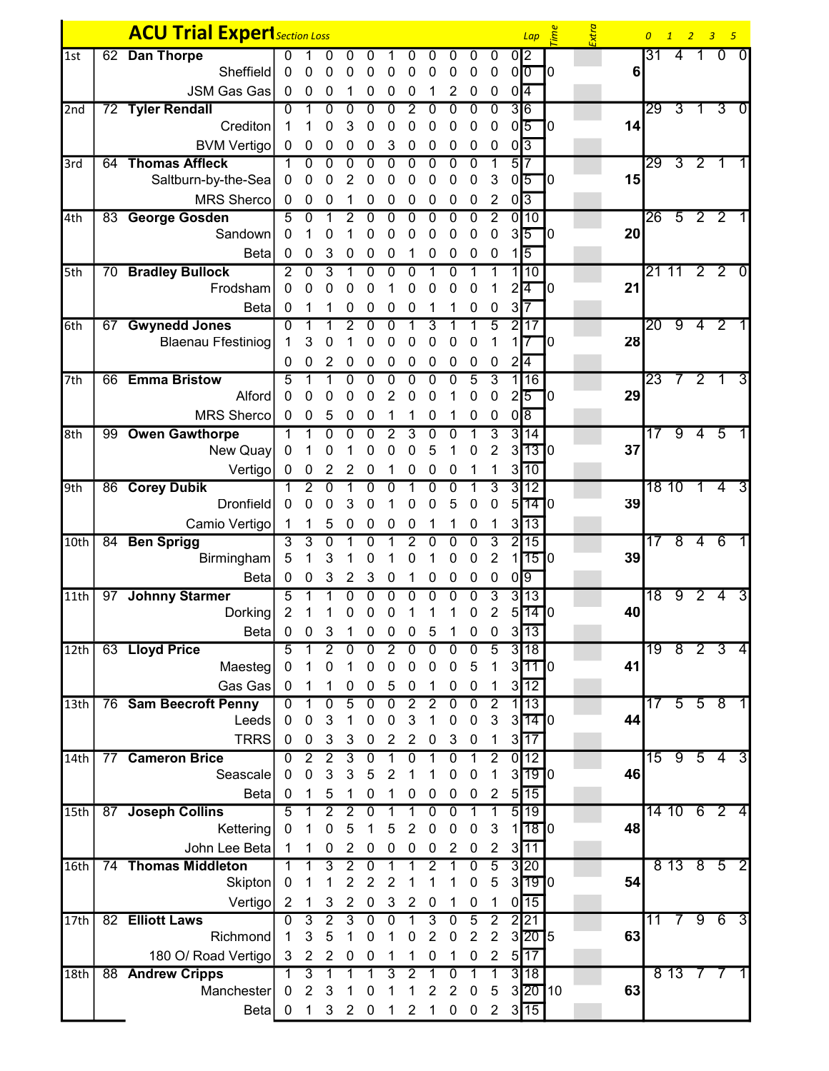|                  |    | <b>ACU Trial Experi</b> Section Loss         |                                    |                             |                                             |                     |                     |                     |                     |                     |                     |                     |                     |                | $Lap \quad \stackrel{\text{def}}{=}$ |    | Extra |    |                 |                |                   | 0 1 2 3 5                      |
|------------------|----|----------------------------------------------|------------------------------------|-----------------------------|---------------------------------------------|---------------------|---------------------|---------------------|---------------------|---------------------|---------------------|---------------------|---------------------|----------------|--------------------------------------|----|-------|----|-----------------|----------------|-------------------|--------------------------------|
| 1st              |    | 62 Dan Thorpe                                | O                                  |                             |                                             | 0                   | 0                   |                     |                     | O                   | 0                   | 0                   | 0                   |                | 0I <sub>2</sub>                      |    |       |    | 31              | 4              |                   | $\Omega$<br>$\Omega$           |
|                  |    | Sheffield                                    | 0                                  | 0                           | 0                                           | 0                   | 0                   | 0                   | 0                   | 0                   | 0                   | 0                   | 0                   |                | 0 <sub>0</sub>                       | ٦0 |       | 6  |                 |                |                   |                                |
|                  |    | <b>JSM Gas Gas</b>                           | $\mathbf 0$                        | $\mathbf 0$                 | 0                                           |                     | 0                   | 0                   | 0                   | 1                   | 2                   | 0                   | 0                   |                | $0\sqrt{4}$                          |    |       |    |                 |                |                   |                                |
| 2nd              |    | 72 Tyler Rendall                             | 0                                  | 1                           | 0                                           | 0                   | 0                   | 0                   | 2                   | 0                   | 0                   | 0                   | 0                   |                | $\overline{3}$ <sup>6</sup>          |    |       |    | 29              | $\overline{3}$ | $\mathbf 1$       | 3<br>$\mathbf{0}$              |
|                  |    | Crediton                                     | 1                                  |                             | 0                                           | 3                   | 0                   | 0                   | 0                   | 0                   | 0                   | 0                   | 0                   |                | $0\sqrt{5}$                          | 10 |       | 14 |                 |                |                   |                                |
|                  |    | <b>BVM Vertigo</b>                           | 0                                  | $\mathbf 0$                 | 0                                           | 0                   | 0                   | 3                   | 0                   | 0                   | 0                   | 0                   | 0                   | $0\sqrt{3}$    |                                      |    |       |    |                 |                |                   |                                |
| 3rd              | 64 | <b>Thomas Affleck</b><br>Saltburn-by-the-Sea | 1<br>0                             | $\overline{0}$<br>0         | $\overline{0}$<br>0                         | $\overline{0}$<br>2 | $\overline{0}$<br>0 | $\overline{0}$<br>0 | $\overline{0}$<br>0 | $\overline{0}$<br>0 | $\overline{0}$<br>0 | $\overline{0}$<br>0 | 1<br>3              |                | $5\overline{17}$<br>$0\overline{5}$  | 10 |       | 15 | 29              | $\overline{3}$ | $\overline{2}$    | $\overline{1}$                 |
|                  |    | <b>MRS Sherco</b>                            | $\mathbf 0$                        | 0                           | 0                                           |                     | 0                   | 0                   | 0                   | 0                   | 0                   | 0                   | 2                   | $0\sqrt{3}$    |                                      |    |       |    |                 |                |                   |                                |
| 4th              |    | 83 George Gosden                             | 5                                  | 0                           |                                             | 2                   | 0                   | 0                   | 0                   | 0                   | 0                   | 0                   | $\overline{2}$      |                | 0 10                                 |    |       |    | 26              | $\overline{5}$ | 2 <sub>2</sub>    |                                |
|                  |    | Sandown                                      | 0                                  |                             | 0                                           |                     | 0                   | 0                   | 0                   | 0                   | 0                   | 0                   | 0                   |                | $3\overline{5}$                      | ٦0 |       | 20 |                 |                |                   |                                |
|                  |    | <b>Beta</b>                                  | 0                                  | 0                           | 3                                           | 0                   | 0                   | 0                   |                     | 0                   | 0                   | 0                   | 0                   | 11             | 5                                    |    |       |    |                 |                |                   |                                |
| 5th              |    | 70 Bradley Bullock                           | 2                                  | $\overline{0}$              | $\overline{3}$                              |                     | 0                   | 0                   | 0                   |                     | 0                   | 1                   | 1                   |                | 1110                                 |    |       |    |                 | 21 11          |                   | 2 <sup>2</sup><br>$\mathbf{0}$ |
|                  |    | Frodsham                                     | 0                                  | 0                           | 0                                           | 0                   | 0                   |                     | 0                   | 0                   | 0                   | 0                   |                     | 2              | 14                                   | IO |       | 21 |                 |                |                   |                                |
|                  |    | Beta                                         | 0                                  |                             |                                             | 0                   | 0                   | 0                   | 0                   |                     | 1                   | 0                   | 0                   | 3 <sup>l</sup> | 17                                   |    |       |    |                 |                |                   |                                |
| 6th              |    | 67 Gwynedd Jones                             | $\overline{0}$                     |                             |                                             | 2                   | 0                   | $\overline{0}$      |                     | 3                   |                     |                     | $\overline{5}$      |                | 2 17                                 |    |       |    | $20\,$          | 9              |                   | 4 <sup>2</sup>                 |
|                  |    | <b>Blaenau Ffestiniog</b>                    | 1                                  | 3                           | 0                                           |                     | 0                   | 0                   | 0                   | 0                   | 0                   | 0                   | 1                   | 1              | $\overline{7}$                       | 10 |       | 28 |                 |                |                   |                                |
|                  |    |                                              | 0                                  | 0                           | 2                                           | 0                   | 0                   | 0                   | 0                   | 0                   | 0                   | 0                   | 0                   | $2\sqrt{4}$    |                                      |    |       |    |                 |                |                   |                                |
| 7th              |    | 66 Emma Bristow                              | 5                                  |                             |                                             | 0                   | 0                   | 0                   | 0                   | 0                   | 0                   | 5                   | $\overline{3}$      |                | 16                                   |    |       |    | 23              |                | $\overline{2}$    | 3<br>1                         |
|                  |    | Alford                                       | 0                                  | 0                           | 0                                           | 0                   | 0                   | 2                   | 0                   | 0                   |                     | 0                   | 0                   |                | $2\sqrt{5}$                          | ٦٥ |       | 29 |                 |                |                   |                                |
|                  |    | <b>MRS Sherco</b>                            | $\mathbf 0$                        | $\mathbf 0$                 | 5                                           | 0                   | 0                   | 1                   | 1                   | 0                   | 1                   | 0                   | 0                   |                | $0\sqrt{8}$                          |    |       |    |                 |                |                   |                                |
| 8th              |    | 99 Owen Gawthorpe                            | 1                                  |                             | 0                                           | 0                   | 0                   | $\overline{2}$      | 3                   | 0                   | 0                   | 1                   | $\overline{3}$      |                | 3 14                                 |    |       |    | $\overline{17}$ | 9              | $\overline{4}$    | $-5$                           |
|                  |    | New Quay                                     | 0                                  |                             | 0                                           |                     | 0                   | 0                   | 0                   | 5                   | 1                   | 0                   | $\overline{2}$      |                | 3730                                 |    |       | 37 |                 |                |                   |                                |
|                  |    | Vertigo                                      | 0                                  | 0                           | 2                                           | 2                   | 0                   |                     | 0                   | 0                   | 0                   |                     | 1                   |                | $3\overline{10}$                     |    |       |    |                 |                |                   |                                |
| 9th              |    | 86 Corey Dubik<br><b>Dronfield</b>           | 1<br>0                             | 2<br>0                      | $\Omega$<br>0                               | 3                   | $\Omega$<br>0       | $\mathbf 0$         | 0                   | $\Omega$<br>0       | $\overline{0}$<br>5 | 0                   | 3<br>0              |                | 3 12<br>5770                         |    |       | 39 |                 | 18 10          | $\mathbf{1}$      | 3<br>4                         |
|                  |    | Camio Vertigo                                | 1                                  | 1                           | $\sqrt{5}$                                  | 0                   | 0                   | 0                   | $\boldsymbol{0}$    | 1                   | 1                   | 0                   | 1                   |                | $3\overline{13}$                     |    |       |    |                 |                |                   |                                |
| 10th             | 84 | <b>Ben Sprigg</b>                            | $\overline{3}$                     | 3                           | $\overline{0}$                              |                     | 0                   |                     | $\overline{2}$      | 0                   | 0                   | 0                   | $\overline{3}$      |                | 2 15                                 |    |       |    | 17              | $\overline{8}$ | $\overline{4}$    | 6                              |
|                  |    | Birmingham                                   | 5                                  |                             | 3                                           |                     | 0                   |                     | 0                   |                     | 0                   | 0                   | $\overline{2}$      | 11             | 1510                                 |    |       | 39 |                 |                |                   |                                |
|                  |    | Beta                                         | 0                                  | 0                           | 3                                           | 2                   | 3                   | 0                   |                     | 0                   | 0                   | 0                   | 0                   | $\overline{0}$ | ७                                    |    |       |    |                 |                |                   |                                |
| 11th             | 97 | <b>Johnny Starmer</b>                        | 5                                  |                             |                                             | 0                   | 0                   | 0                   | 0                   | 0                   | 0                   | 0                   | $\overline{3}$      |                | 3 13                                 |    |       |    | 18              | ු              | $\overline{2}$    | 3<br>4                         |
|                  |    | Dorking                                      | 2                                  |                             |                                             | 0                   | 0                   | 0                   |                     |                     |                     | 0                   | 2                   |                | 51110                                |    |       | 40 |                 |                |                   |                                |
|                  |    | Beta                                         | 0                                  | 0                           | 3                                           |                     | 0                   | 0                   | 0                   | 5                   |                     | 0                   | 0                   |                | 313                                  |    |       |    |                 |                |                   |                                |
| 12th             |    | 63 Lloyd Price                               | 5                                  |                             | 2                                           | 0                   | $\Omega$            | 2                   | 0                   | $\Omega$            | $\Omega$            | 0                   | 5                   |                | 3 18                                 |    |       |    |                 | 19 8 2         |                   | $\overline{3}$<br>4            |
|                  |    | Maesteg                                      | $\boldsymbol{0}$                   |                             | 0                                           |                     | 0                   | 0                   | 0                   | 0                   | 0                   | 5                   | 1                   |                | $3$ <sup>11</sup> ] $0$              |    |       | 41 |                 |                |                   |                                |
|                  |    | Gas Gas                                      | $\mathbf 0$                        |                             | 1                                           | $\pmb{0}$           | 0                   | 5                   | 0                   | 1                   | 0                   | 0                   |                     |                | $3\overline{12}$                     |    |       |    |                 |                |                   |                                |
| 13 <sub>th</sub> |    | 76 Sam Beecroft Penny                        | 0                                  |                             | $\overline{0}$                              | 5                   | 0                   | $\overline{0}$      | $\overline{2}$      | $\overline{2}$      | 0                   | 0                   | $\overline{2}$      |                | 1 13                                 |    |       |    | 17              |                | $5\quad 5\quad 8$ |                                |
|                  |    | Leeds                                        | 0                                  | 0                           | 3                                           |                     | 0                   | 0                   | 3                   | 1                   | 0                   | 0                   | 3                   | 31             | 1410                                 |    |       | 44 |                 |                |                   |                                |
|                  |    | <b>TRRS</b>                                  | $\mathbf 0$                        | $\mathbf 0$                 | 3                                           | 3                   | 0                   | $\overline{2}$      | $\overline{2}$      | 0                   | 3                   | 0                   | 1                   |                | $3\overline{17}$                     |    |       |    |                 |                |                   |                                |
| 14th             |    | 77 Cameron Brice<br>Seascale                 | $\overline{0}$<br>$\boldsymbol{0}$ | $\overline{2}$<br>$\pmb{0}$ | $\overline{2}$<br>$\ensuremath{\mathsf{3}}$ | 3<br>3              | $\overline{0}$<br>5 | 1<br>2              | 0<br>1              | 1                   | 0<br>0              | 1<br>0              | $\overline{2}$<br>1 |                | $0\overline{12}$<br>3190             |    |       | 46 | 15              | 9              | 5                 | 3<br>-4                        |
|                  |    | <b>Beta</b>                                  | 0                                  |                             | 5                                           |                     | 0                   |                     | 0                   | 0                   | 0                   | 0                   | 2                   |                | $5\overline{15}$                     |    |       |    |                 |                |                   |                                |
| 15th             | 87 | <b>Joseph Collins</b>                        | 5                                  | 1                           | $\overline{2}$                              | $\overline{2}$      | 0                   | 1                   |                     | 0                   | 0                   | 1                   | 1                   |                | 5 19                                 |    |       |    |                 | 14 10 6 2      |                   | 4                              |
|                  |    | Kettering                                    | 0                                  |                             | 0                                           | 5                   |                     | 5                   | $\overline{c}$      | 0                   | 0                   | 0                   | 3                   |                | $1$ <sup>18<math>1</math>0</sup>     |    |       | 48 |                 |                |                   |                                |
|                  |    | John Lee Beta                                |                                    |                             | 0                                           | 2                   | 0                   | 0                   | 0                   | 0                   | 2                   | 0                   | $\overline{2}$      |                | $3\overline{11}$                     |    |       |    |                 |                |                   |                                |
| 16th             |    | 74 Thomas Middleton                          |                                    |                             | 3                                           | $\overline{2}$      | 0                   |                     |                     | 2                   |                     | 0                   | $\overline{5}$      |                | 3 20                                 |    |       |    |                 | 8 13 8 5       |                   |                                |
|                  |    | Skipton                                      | 0                                  |                             |                                             | $\overline{c}$      | $\overline{2}$      | 2                   |                     |                     |                     | 0                   | 5                   | $\overline{3}$ | 1910                                 |    |       | 54 |                 |                |                   |                                |
|                  |    | Vertigo                                      | $\overline{2}$                     | 1                           | 3                                           | $\overline{2}$      | 0                   | 3                   | 2                   | 0                   | 1                   | 0                   | 1                   |                | $0$ <sup>15</sup>                    |    |       |    |                 |                |                   |                                |
| 17th             |    | 82 Elliott Laws                              | $\overline{0}$                     | $\overline{3}$              | $\overline{2}$                              | 3                   | 0                   | 0                   | 1                   | $\overline{3}$      | 0                   | $\overline{5}$      | $\overline{2}$      |                | 2 21                                 |    |       |    | 11              | 7              | 96                | 3                              |
|                  |    | Richmond                                     | $\mathbf{1}$                       | 3                           | 5                                           | 1                   | $\mathbf 0$         | 1                   | 0                   | $\overline{2}$      | $\pmb{0}$           | $\overline{2}$      | $\overline{2}$      |                | 3 20 5                               |    |       | 63 |                 |                |                   |                                |
|                  |    | 180 O/ Road Vertigo                          | 3                                  | 2                           | $\overline{2}$                              | 0                   | 0                   | 1                   |                     | 0                   | 1                   | 0                   | 2                   |                | $5\overline{17}$                     |    |       |    |                 |                |                   |                                |
| 18 <sub>th</sub> |    | 88 Andrew Cripps                             | $\mathbf{1}$                       | $\overline{\mathbf{3}}$     |                                             |                     |                     | 3                   | 2                   |                     | 0                   |                     | 1                   |                | 3 18                                 |    |       |    |                 | 8 13 7 7       |                   |                                |
|                  |    | Manchester                                   | $\mathbf 0$                        | 2                           | 3                                           |                     | 0                   |                     |                     | 2                   | 2                   | 0                   | 5                   |                | $3$ 20 10                            |    |       | 63 |                 |                |                   |                                |
|                  |    | Beta                                         | 0 <sub>1</sub>                     |                             | 3 <sup>7</sup>                              |                     | $2\quad 0$          | 1                   | $\overline{2}$      | $\mathbf 1$         | 0                   | $\bf{0}$            | $\overline{2}$      |                | $3\overline{15}$                     |    |       |    |                 |                |                   |                                |